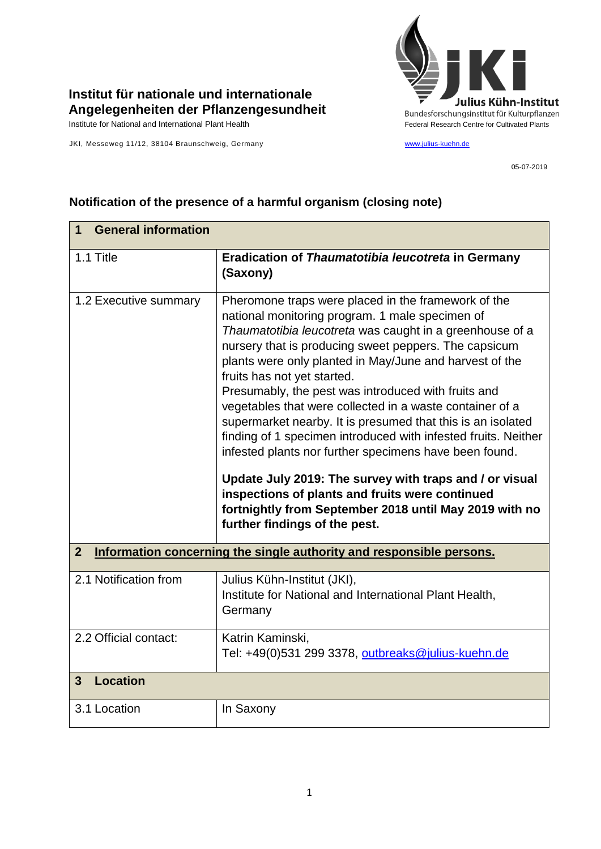

## **Institut für nationale und internationale Angelegenheiten der Pflanzengesundheit**

JKI, Messeweg 11/12, 38104 Braunschweig, Germany [www.julius-kuehn.de](http://www.julius-kuehn.de/)

05-07-2019

## **1 General information** 1.1 Title **Eradication of** *Thaumatotibia leucotreta* **in Germany (Saxony)** 1.2 Executive summary | Pheromone traps were placed in the framework of the national monitoring program. 1 male specimen of *Thaumatotibia leucotreta* was caught in a greenhouse of a nursery that is producing sweet peppers. The capsicum plants were only planted in May/June and harvest of the fruits has not yet started. Presumably, the pest was introduced with fruits and vegetables that were collected in a waste container of a supermarket nearby. It is presumed that this is an isolated finding of 1 specimen introduced with infested fruits. Neither infested plants nor further specimens have been found. **Update July 2019: The survey with traps and / or visual inspections of plants and fruits were continued fortnightly from September 2018 until May 2019 with no further findings of the pest. 2 Information concerning the single authority and responsible persons.** 2.1 Notification from Julius Kühn-Institut (JKI), Institute for National and International Plant Health, **Germany** 2.2 Official contact: Katrin Kaminski, Tel: +49(0)531 299 3378, [outbreaks@julius-kuehn.de](mailto:outbreaks@julius-kuehn.de) **3 Location**  3.1 Location | In Saxony

## **Notification of the presence of a harmful organism (closing note)**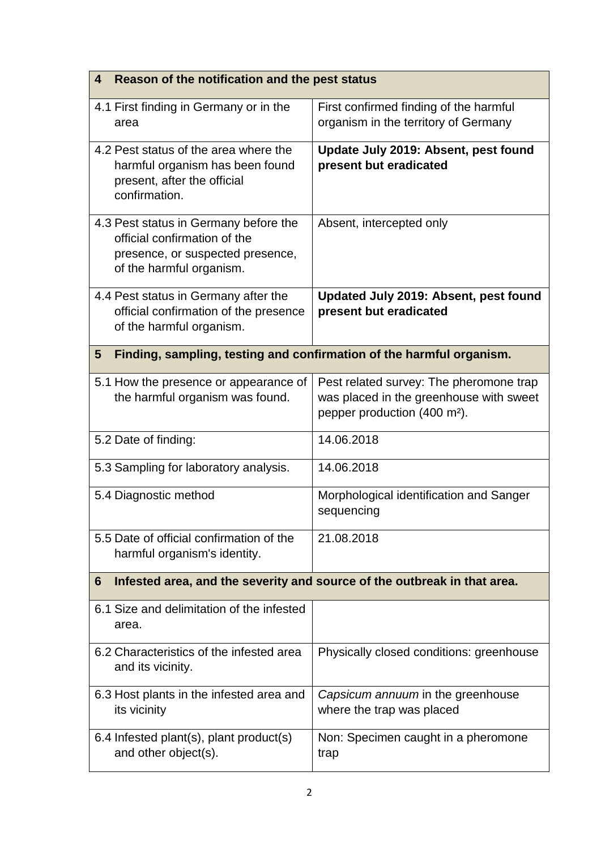| Reason of the notification and the pest status<br>4                                                                                   |                                                                                                                                |
|---------------------------------------------------------------------------------------------------------------------------------------|--------------------------------------------------------------------------------------------------------------------------------|
| 4.1 First finding in Germany or in the<br>area                                                                                        | First confirmed finding of the harmful<br>organism in the territory of Germany                                                 |
| 4.2 Pest status of the area where the<br>harmful organism has been found<br>present, after the official<br>confirmation.              | Update July 2019: Absent, pest found<br>present but eradicated                                                                 |
| 4.3 Pest status in Germany before the<br>official confirmation of the<br>presence, or suspected presence,<br>of the harmful organism. | Absent, intercepted only                                                                                                       |
| 4.4 Pest status in Germany after the<br>official confirmation of the presence<br>of the harmful organism.                             | Updated July 2019: Absent, pest found<br>present but eradicated                                                                |
| Finding, sampling, testing and confirmation of the harmful organism.<br>5                                                             |                                                                                                                                |
| 5.1 How the presence or appearance of<br>the harmful organism was found.                                                              | Pest related survey: The pheromone trap<br>was placed in the greenhouse with sweet<br>pepper production (400 m <sup>2</sup> ). |
| 5.2 Date of finding:                                                                                                                  | 14.06.2018                                                                                                                     |
| 5.3 Sampling for laboratory analysis.                                                                                                 | 14.06.2018                                                                                                                     |
| 5.4 Diagnostic method                                                                                                                 | Morphological identification and Sanger<br>sequencing                                                                          |
| 5.5 Date of official confirmation of the<br>harmful organism's identity.                                                              | 21.08.2018                                                                                                                     |
| Infested area, and the severity and source of the outbreak in that area.<br>6                                                         |                                                                                                                                |
| 6.1 Size and delimitation of the infested<br>area.                                                                                    |                                                                                                                                |
| 6.2 Characteristics of the infested area<br>and its vicinity.                                                                         | Physically closed conditions: greenhouse                                                                                       |
| 6.3 Host plants in the infested area and<br>its vicinity                                                                              | Capsicum annuum in the greenhouse<br>where the trap was placed                                                                 |
| 6.4 Infested plant(s), plant product(s)<br>and other object(s).                                                                       | Non: Specimen caught in a pheromone<br>trap                                                                                    |